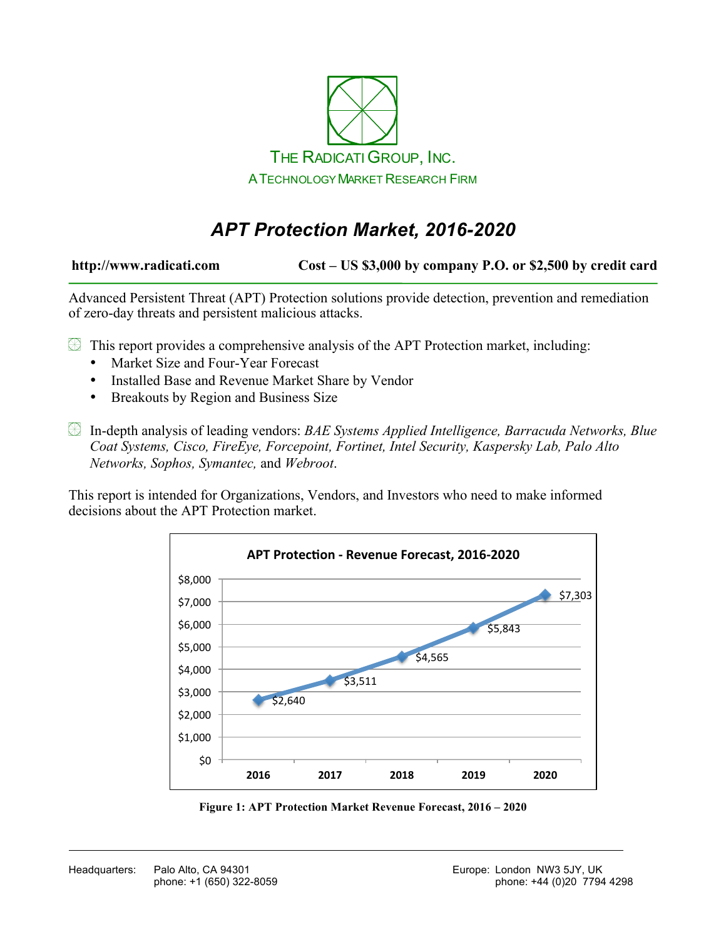

# *APT Protection Market, 2016-2020*

**http://www.radicati.com Cost – US \$3,000 by company P.O. or \$2,500 by credit card**

Advanced Persistent Threat (APT) Protection solutions provide detection, prevention and remediation of zero-day threats and persistent malicious attacks.

 $\mathbb B$  This report provides a comprehensive analysis of the APT Protection market, including:

- Market Size and Four-Year Forecast
- Installed Base and Revenue Market Share by Vendor
- Breakouts by Region and Business Size

In-depth analysis of leading vendors: *BAE Systems Applied Intelligence, Barracuda Networks, Blue Coat Systems, Cisco, FireEye, Forcepoint, Fortinet, Intel Security, Kaspersky Lab, Palo Alto Networks, Sophos, Symantec,* and *Webroot*.

This report is intended for Organizations, Vendors, and Investors who need to make informed decisions about the APT Protection market.



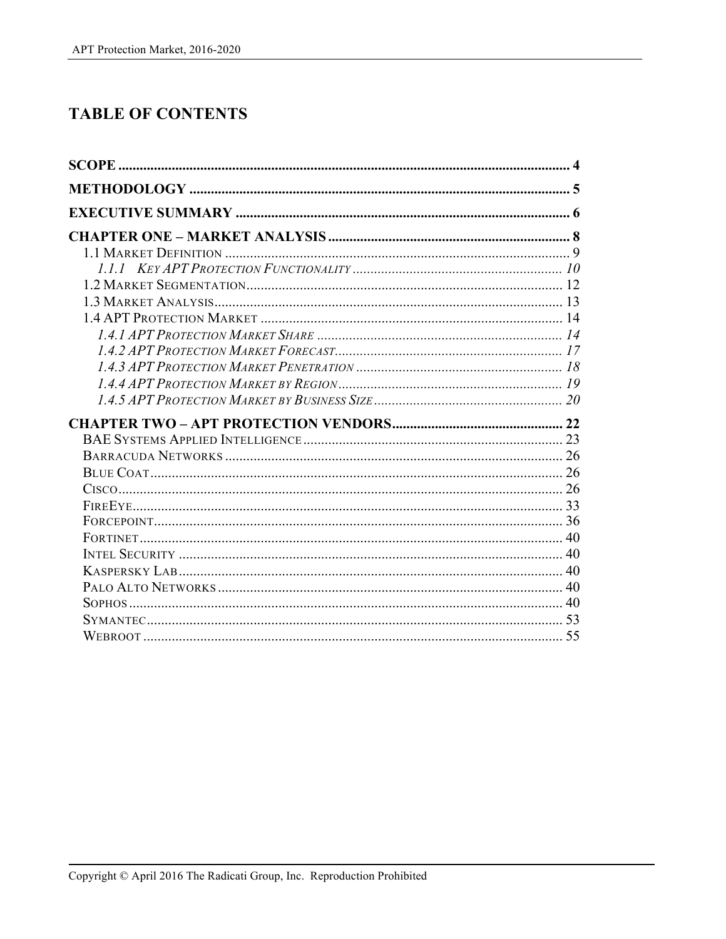## **TABLE OF CONTENTS**

| <b>SCOPE</b> |  |
|--------------|--|
|              |  |
|              |  |
|              |  |
|              |  |
|              |  |
|              |  |
|              |  |
|              |  |
|              |  |
|              |  |
|              |  |
|              |  |
|              |  |
|              |  |
|              |  |
|              |  |
|              |  |
|              |  |
|              |  |
|              |  |
|              |  |
|              |  |
|              |  |
|              |  |
|              |  |
|              |  |
|              |  |
|              |  |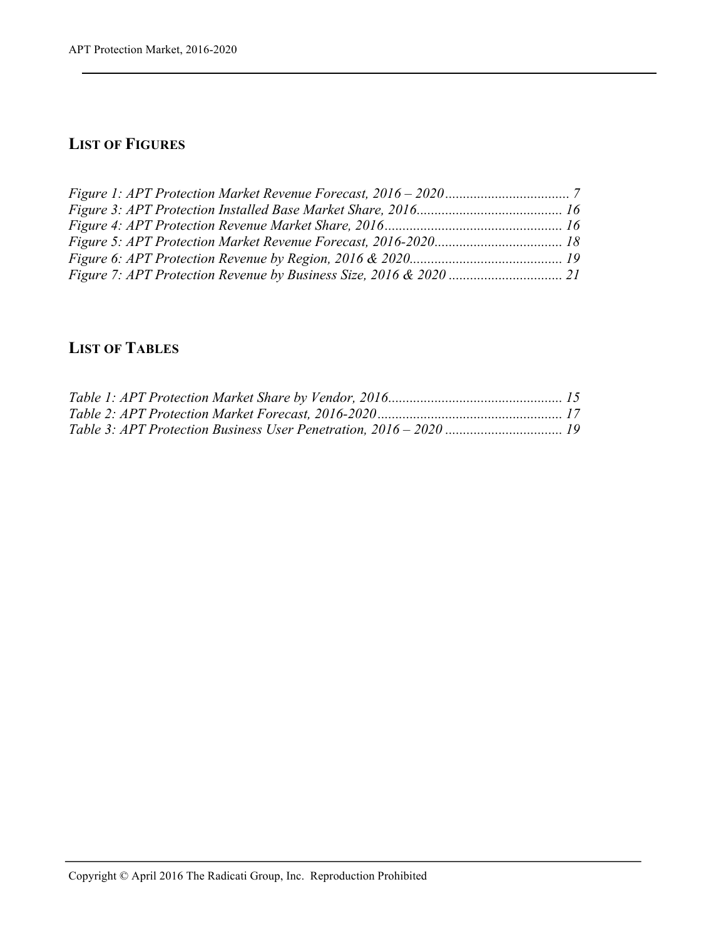#### **LIST OF FIGURES**

### **LIST OF TABLES**